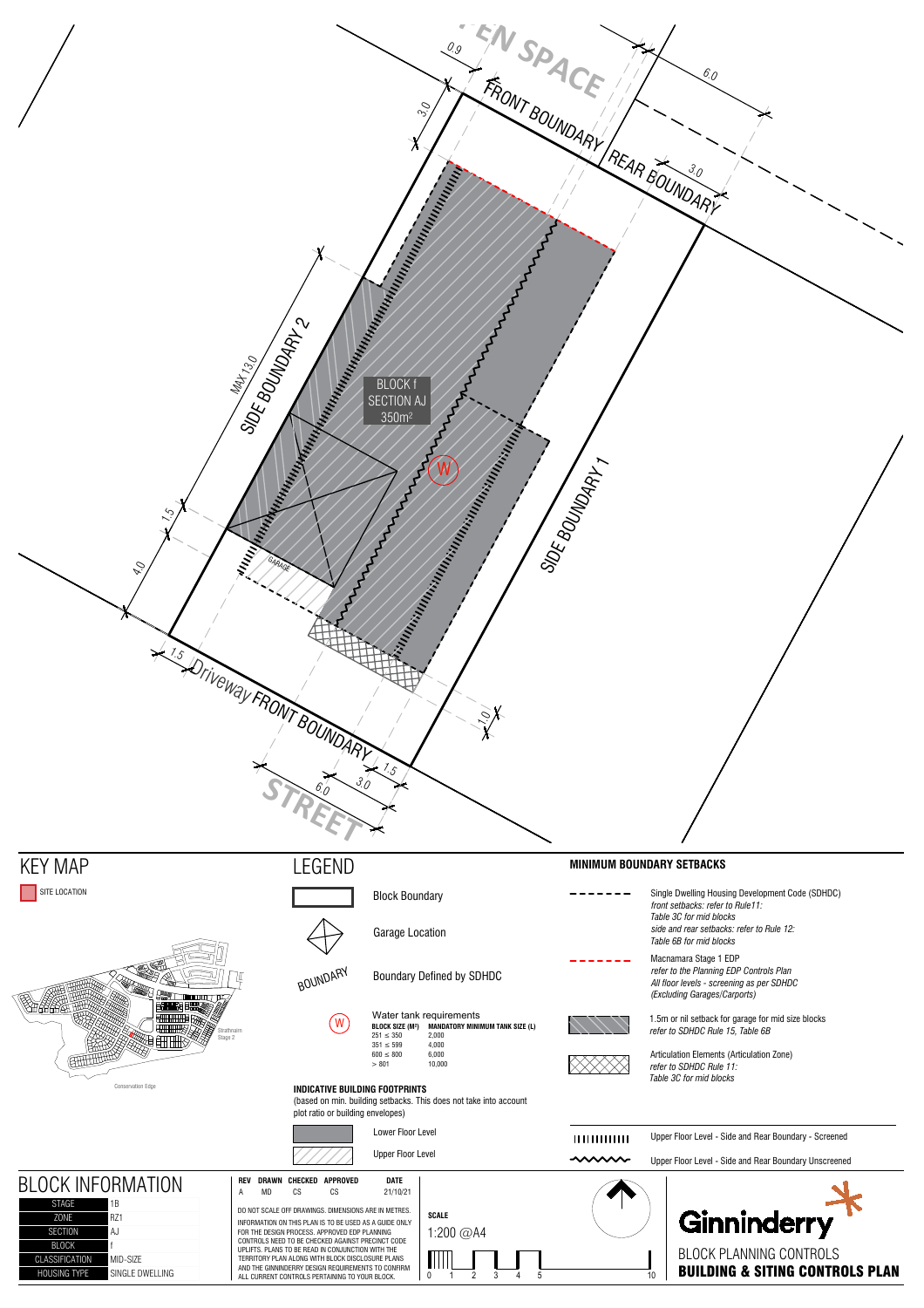